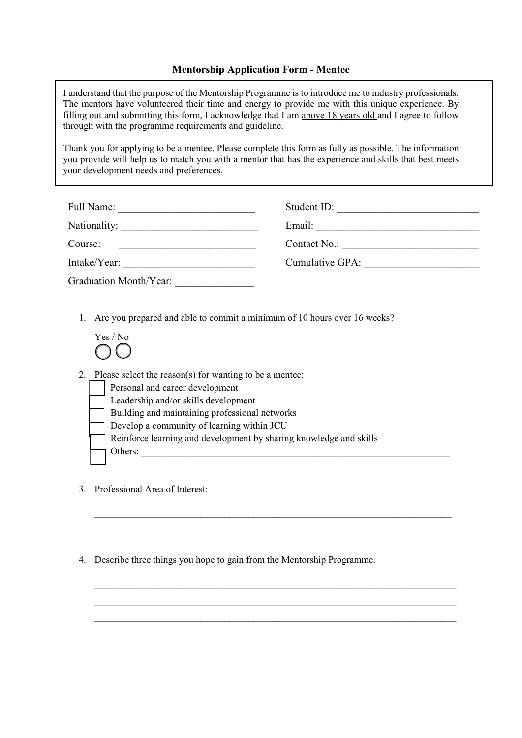# **Mentorship Application Form - Mentee**

I understand that the purpose of the Mentorship Programme is to introduce me to industry professionals. The mentors have volunteered their time and energy to provide me with this unique experience. By filling out and submitting this form, I acknowledge that I am above 18 years old and I agree to follow through with the programme requirements and guideline.

Thank you for applying to be a mentee. Please complete this form as fully as possible. The information you provide will help us to match you with a mentor that has the experience and skills that best meets your development needs and preferences.

| Full Name:             | Student ID:     |
|------------------------|-----------------|
| Nationality:           | Email:          |
| Course:                | Contact No.:    |
| Intake/Year:           | Cumulative GPA: |
| Graduation Month/Year: |                 |

1. Are you prepared and able to commit a minimum of 10 hours over 16 weeks?

| Yes / No |  |
|----------|--|
|          |  |

2. Please select the reason(s) for wanting to be a mentee: Personal and career development

- Leadership and/or skills development • Building and maintaining professional networks • Develop a community of learning within JCU • Reinforce learning and development by sharing knowledge and skills Others:
- 3. Professional Area of Interest:
- 4. Describe three things you hope to gain from the Mentorship Programme.

 $\_$  , and the set of the set of the set of the set of the set of the set of the set of the set of the set of the set of the set of the set of the set of the set of the set of the set of the set of the set of the set of th

\_\_\_\_\_\_\_\_\_\_\_\_\_\_\_\_\_\_\_\_\_\_\_\_\_\_\_\_\_\_\_\_\_\_\_\_\_\_\_\_\_\_\_\_\_\_\_\_\_\_\_\_\_\_\_\_\_\_\_\_\_\_\_\_\_\_\_\_\_\_\_\_\_\_\_  $\_$  , and the set of the set of the set of the set of the set of the set of the set of the set of the set of the set of the set of the set of the set of the set of the set of the set of the set of the set of the set of th  $\_$  , and the set of the set of the set of the set of the set of the set of the set of the set of the set of the set of the set of the set of the set of the set of the set of the set of the set of the set of the set of th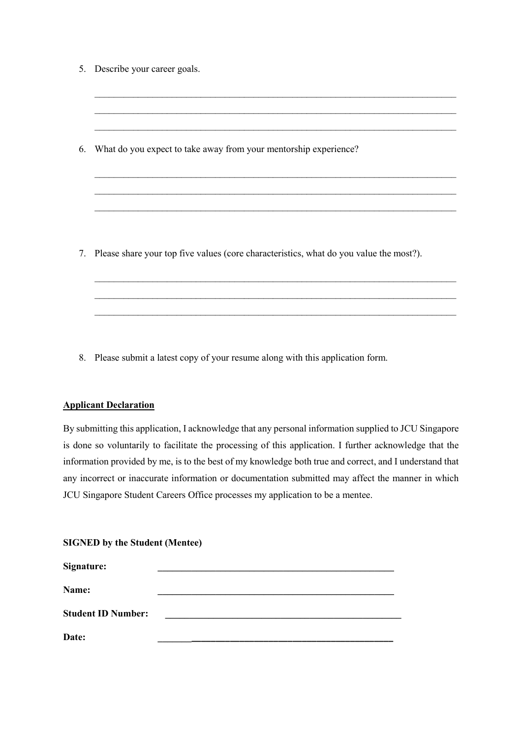|    | 5. Describe your career goals.                                                            |
|----|-------------------------------------------------------------------------------------------|
|    |                                                                                           |
|    |                                                                                           |
|    |                                                                                           |
| 6. | What do you expect to take away from your mentorship experience?                          |
|    |                                                                                           |
|    |                                                                                           |
|    |                                                                                           |
|    |                                                                                           |
|    | 7. Please share your top five values (core characteristics, what do you value the most?). |
|    |                                                                                           |
|    |                                                                                           |
|    |                                                                                           |

8. Please submit a latest copy of your resume along with this application form.

### **Applicant Declaration**

By submitting this application, I acknowledge that any personal information supplied to JCU Singapore is done so voluntarily to facilitate the processing of this application. I further acknowledge that the information provided by me, is to the best of my knowledge both true and correct, and I understand that any incorrect or inaccurate information or documentation submitted may affect the manner in which JCU Singapore Student Careers Office processes my application to be a mentee.

| Signature:                |  |
|---------------------------|--|
| Name:                     |  |
| <b>Student ID Number:</b> |  |
| Date:                     |  |